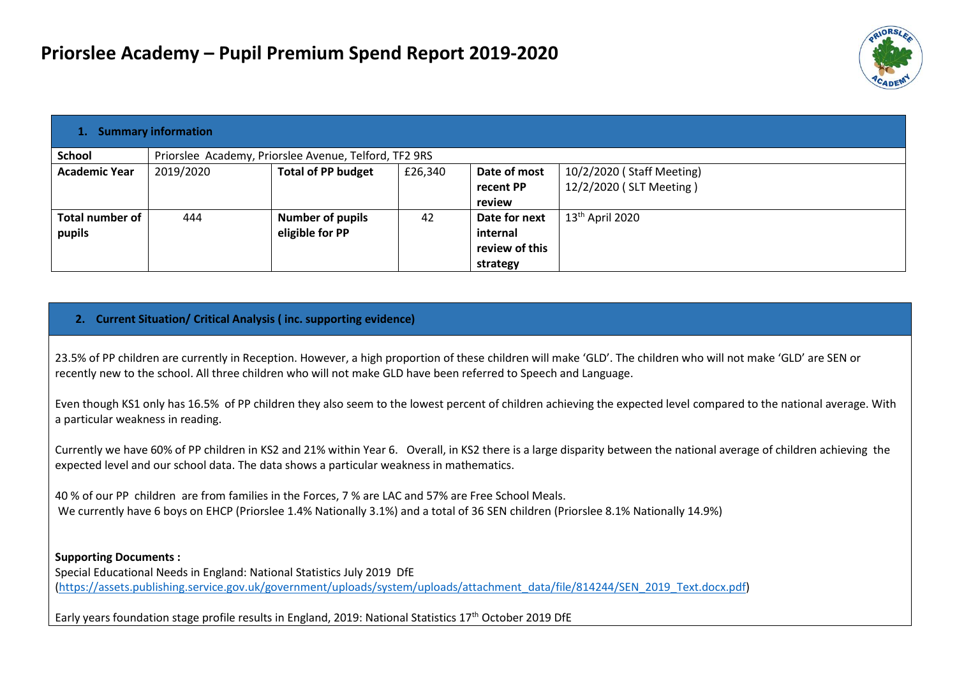

| 1. Summary information |                                                       |                           |         |                |                           |  |  |
|------------------------|-------------------------------------------------------|---------------------------|---------|----------------|---------------------------|--|--|
| <b>School</b>          | Priorslee Academy, Priorslee Avenue, Telford, TF2 9RS |                           |         |                |                           |  |  |
| <b>Academic Year</b>   | 2019/2020                                             | <b>Total of PP budget</b> | £26,340 | Date of most   | 10/2/2020 (Staff Meeting) |  |  |
|                        |                                                       |                           |         | recent PP      | 12/2/2020 (SLT Meeting)   |  |  |
|                        |                                                       |                           |         | review         |                           |  |  |
| Total number of        | 444                                                   | <b>Number of pupils</b>   | 42      | Date for next  | $13th$ April 2020         |  |  |
| pupils                 |                                                       | eligible for PP           |         | internal       |                           |  |  |
|                        |                                                       |                           |         | review of this |                           |  |  |
|                        |                                                       |                           |         | strategy       |                           |  |  |

#### **2. Current Situation/ Critical Analysis ( inc. supporting evidence)**

23.5% of PP children are currently in Reception. However, a high proportion of these children will make 'GLD'. The children who will not make 'GLD' are SEN or recently new to the school. All three children who will not make GLD have been referred to Speech and Language.

Even though KS1 only has 16.5% of PP children they also seem to the lowest percent of children achieving the expected level compared to the national average. With a particular weakness in reading.

Currently we have 60% of PP children in KS2 and 21% within Year 6. Overall, in KS2 there is a large disparity between the national average of children achieving the expected level and our school data. The data shows a particular weakness in mathematics.

40 % of our PP children are from families in the Forces, 7 % are LAC and 57% are Free School Meals. We currently have 6 boys on EHCP (Priorslee 1.4% Nationally 3.1%) and a total of 36 SEN children (Priorslee 8.1% Nationally 14.9%)

**Supporting Documents :**

Special Educational Needs in England: National Statistics July 2019 DfE [\(https://assets.publishing.service.gov.uk/government/uploads/system/uploads/attachment\\_data/file/814244/SEN\\_2019\\_Text.docx.pdf\)](https://assets.publishing.service.gov.uk/government/uploads/system/uploads/attachment_data/file/814244/SEN_2019_Text.docx.pdf)

Early years foundation stage profile results in England, 2019: National Statistics  $17<sup>th</sup>$  October 2019 DfE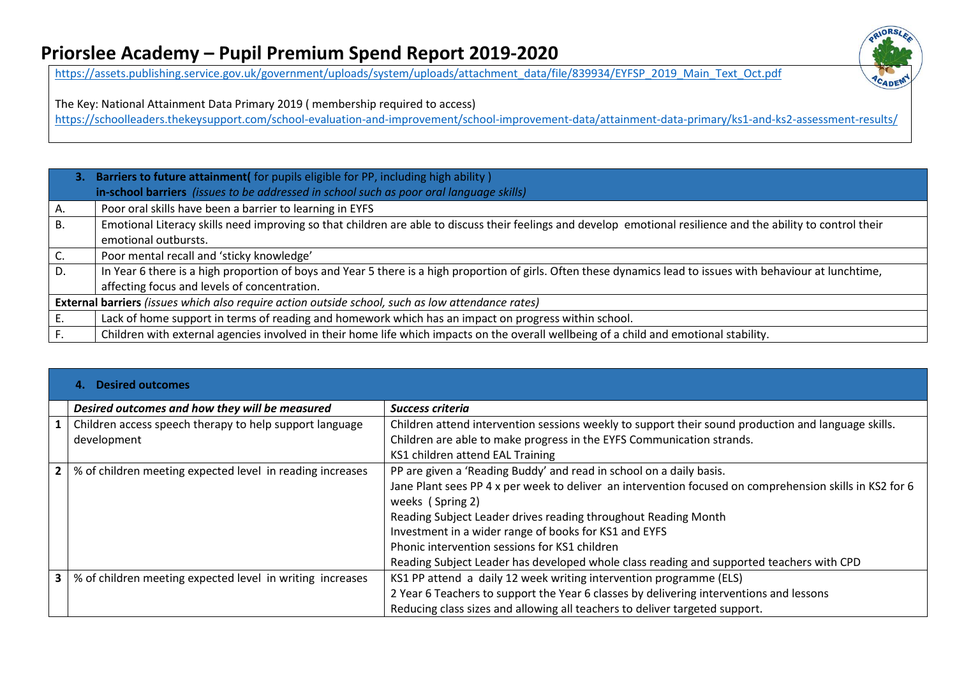

[https://assets.publishing.service.gov.uk/government/uploads/system/uploads/attachment\\_data/file/839934/EYFSP\\_2019\\_Main\\_Text\\_Oct.pdf](https://assets.publishing.service.gov.uk/government/uploads/system/uploads/attachment_data/file/839934/EYFSP_2019_Main_Text_Oct.pdf)

The Key: National Attainment Data Primary 2019 ( membership required to access)

<https://schoolleaders.thekeysupport.com/school-evaluation-and-improvement/school-improvement-data/attainment-data-primary/ks1-and-ks2-assessment-results/>

|    | 3. Barriers to future attainment( for pupils eligible for PP, including high ability)<br>in-school barriers (issues to be addressed in school such as poor oral language skills)       |  |  |  |  |
|----|----------------------------------------------------------------------------------------------------------------------------------------------------------------------------------------|--|--|--|--|
| Α. | Poor oral skills have been a barrier to learning in EYFS                                                                                                                               |  |  |  |  |
| В. | Emotional Literacy skills need improving so that children are able to discuss their feelings and develop emotional resilience and the ability to control their<br>emotional outbursts. |  |  |  |  |
|    | Poor mental recall and 'sticky knowledge'                                                                                                                                              |  |  |  |  |
| D. | In Year 6 there is a high proportion of boys and Year 5 there is a high proportion of girls. Often these dynamics lead to issues with behaviour at lunchtime,                          |  |  |  |  |
|    | affecting focus and levels of concentration.                                                                                                                                           |  |  |  |  |
|    | External barriers (issues which also require action outside school, such as low attendance rates)                                                                                      |  |  |  |  |
|    | Lack of home support in terms of reading and homework which has an impact on progress within school.                                                                                   |  |  |  |  |
|    | Children with external agencies involved in their home life which impacts on the overall wellbeing of a child and emotional stability.                                                 |  |  |  |  |

|              | <b>Desired outcomes</b>                                   |                                                                                                         |  |  |  |  |
|--------------|-----------------------------------------------------------|---------------------------------------------------------------------------------------------------------|--|--|--|--|
|              | Desired outcomes and how they will be measured            | <b>Success criteria</b>                                                                                 |  |  |  |  |
|              | Children access speech therapy to help support language   | Children attend intervention sessions weekly to support their sound production and language skills.     |  |  |  |  |
|              | development                                               | Children are able to make progress in the EYFS Communication strands.                                   |  |  |  |  |
|              |                                                           | KS1 children attend EAL Training                                                                        |  |  |  |  |
| $\mathbf{2}$ | % of children meeting expected level in reading increases | PP are given a 'Reading Buddy' and read in school on a daily basis.                                     |  |  |  |  |
|              |                                                           | Jane Plant sees PP 4 x per week to deliver an intervention focused on comprehension skills in KS2 for 6 |  |  |  |  |
|              |                                                           | weeks (Spring 2)                                                                                        |  |  |  |  |
|              |                                                           | Reading Subject Leader drives reading throughout Reading Month                                          |  |  |  |  |
|              |                                                           | Investment in a wider range of books for KS1 and EYFS                                                   |  |  |  |  |
|              |                                                           | Phonic intervention sessions for KS1 children                                                           |  |  |  |  |
|              |                                                           | Reading Subject Leader has developed whole class reading and supported teachers with CPD                |  |  |  |  |
| 3            | % of children meeting expected level in writing increases | KS1 PP attend a daily 12 week writing intervention programme (ELS)                                      |  |  |  |  |
|              |                                                           | 2 Year 6 Teachers to support the Year 6 classes by delivering interventions and lessons                 |  |  |  |  |
|              |                                                           | Reducing class sizes and allowing all teachers to deliver targeted support.                             |  |  |  |  |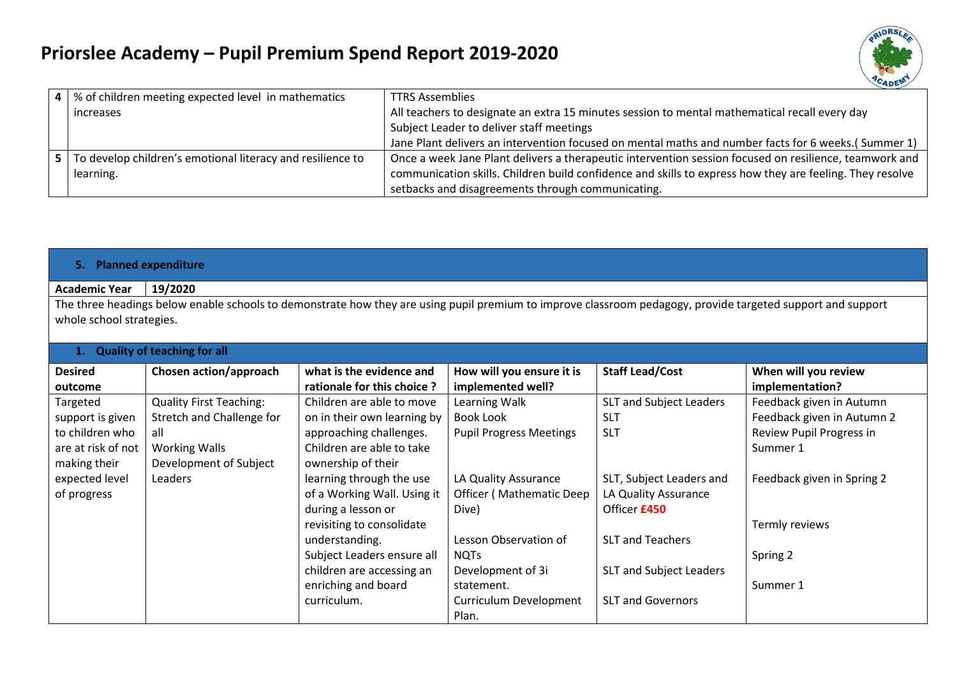

| 4 I   | % of children meeting expected level in mathematics        | <b>TTRS Assemblies</b>                                                                                   |
|-------|------------------------------------------------------------|----------------------------------------------------------------------------------------------------------|
|       | increases                                                  | All teachers to designate an extra 15 minutes session to mental mathematical recall every day            |
|       |                                                            | Subject Leader to deliver staff meetings                                                                 |
|       |                                                            | Jane Plant delivers an intervention focused on mental maths and number facts for 6 weeks.( Summer 1)     |
| - 5 I | To develop children's emotional literacy and resilience to | Once a week Jane Plant delivers a therapeutic intervention session focused on resilience, teamwork and   |
|       | learning.                                                  | communication skills. Children build confidence and skills to express how they are feeling. They resolve |
|       |                                                            | setbacks and disagreements through communicating.                                                        |

#### **5. Planned expenditure**

#### **Academic Year 19/2020**

The three headings below enable schools to demonstrate how they are using pupil premium to improve classroom pedagogy, provide targeted support and support whole school strategies.

| 1. Quality of teaching for all |                                |                             |                                 |                          |                            |  |
|--------------------------------|--------------------------------|-----------------------------|---------------------------------|--------------------------|----------------------------|--|
| <b>Desired</b>                 | Chosen action/approach         | what is the evidence and    | How will you ensure it is       | <b>Staff Lead/Cost</b>   | When will you review       |  |
| outcome                        |                                | rationale for this choice?  | implemented well?               |                          | implementation?            |  |
| Targeted                       | <b>Quality First Teaching:</b> | Children are able to move   | Learning Walk                   | SLT and Subject Leaders  | Feedback given in Autumn   |  |
| support is given               | Stretch and Challenge for      | on in their own learning by | Book Look                       | <b>SLT</b>               | Feedback given in Autumn 2 |  |
| to children who                | all                            | approaching challenges.     | <b>Pupil Progress Meetings</b>  | <b>SLT</b>               | Review Pupil Progress in   |  |
| are at risk of not             | <b>Working Walls</b>           | Children are able to take   |                                 |                          | Summer 1                   |  |
| making their                   | Development of Subject         | ownership of their          |                                 |                          |                            |  |
| expected level                 | Leaders                        | learning through the use    | LA Quality Assurance            | SLT, Subject Leaders and | Feedback given in Spring 2 |  |
| of progress                    |                                | of a Working Wall. Using it | <b>Officer (Mathematic Deep</b> | LA Quality Assurance     |                            |  |
|                                |                                | during a lesson or          | Dive)                           | Officer £450             |                            |  |
|                                |                                | revisiting to consolidate   |                                 |                          | Termly reviews             |  |
|                                |                                | understanding.              | Lesson Observation of           | <b>SLT and Teachers</b>  |                            |  |
|                                |                                | Subject Leaders ensure all  | <b>NOTS</b>                     |                          | Spring 2                   |  |
|                                |                                | children are accessing an   | Development of 3i               | SLT and Subject Leaders  |                            |  |
|                                |                                | enriching and board         | statement.                      |                          | Summer 1                   |  |
|                                |                                | curriculum.                 | Curriculum Development          | <b>SLT and Governors</b> |                            |  |
|                                |                                |                             | Plan.                           |                          |                            |  |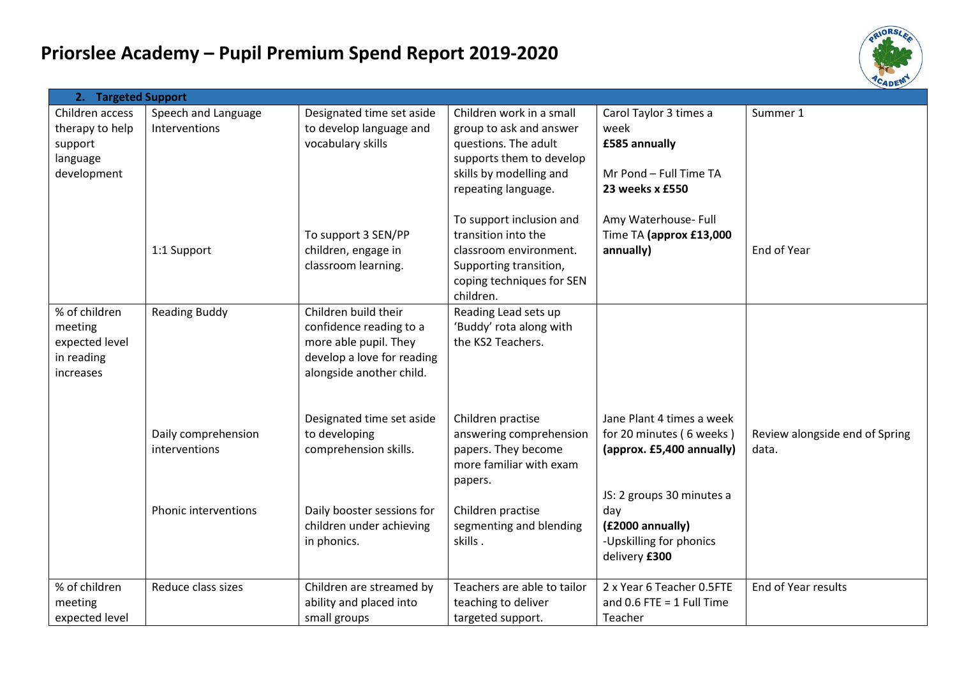

| 2. Targeted Support                |                                      |                                                        |                                                     |                                           |                                |
|------------------------------------|--------------------------------------|--------------------------------------------------------|-----------------------------------------------------|-------------------------------------------|--------------------------------|
| Children access<br>therapy to help | Speech and Language<br>Interventions | Designated time set aside<br>to develop language and   | Children work in a small<br>group to ask and answer | Carol Taylor 3 times a<br>week            | Summer 1                       |
| support                            |                                      | vocabulary skills                                      | questions. The adult                                | £585 annually                             |                                |
| language                           |                                      |                                                        | supports them to develop                            |                                           |                                |
| development                        |                                      |                                                        | skills by modelling and                             | Mr Pond - Full Time TA<br>23 weeks x £550 |                                |
|                                    |                                      |                                                        | repeating language.                                 |                                           |                                |
|                                    |                                      |                                                        | To support inclusion and                            | Amy Waterhouse- Full                      |                                |
|                                    |                                      | To support 3 SEN/PP                                    | transition into the                                 | Time TA (approx £13,000                   |                                |
|                                    | 1:1 Support                          | children, engage in                                    | classroom environment.                              | annually)                                 | End of Year                    |
|                                    |                                      | classroom learning.                                    | Supporting transition,                              |                                           |                                |
|                                    |                                      |                                                        | coping techniques for SEN<br>children.              |                                           |                                |
| % of children                      | <b>Reading Buddy</b>                 | Children build their                                   | Reading Lead sets up                                |                                           |                                |
| meeting                            |                                      | confidence reading to a                                | 'Buddy' rota along with                             |                                           |                                |
| expected level                     |                                      | more able pupil. They                                  | the KS2 Teachers.                                   |                                           |                                |
| in reading<br>increases            |                                      | develop a love for reading<br>alongside another child. |                                                     |                                           |                                |
|                                    |                                      |                                                        |                                                     |                                           |                                |
|                                    |                                      |                                                        |                                                     |                                           |                                |
|                                    |                                      | Designated time set aside                              | Children practise                                   | Jane Plant 4 times a week                 |                                |
|                                    | Daily comprehension                  | to developing                                          | answering comprehension                             | for 20 minutes (6 weeks)                  | Review alongside end of Spring |
|                                    | interventions                        | comprehension skills.                                  | papers. They become<br>more familiar with exam      | (approx. £5,400 annually)                 | data.                          |
|                                    |                                      |                                                        | papers.                                             |                                           |                                |
|                                    |                                      |                                                        |                                                     | JS: 2 groups 30 minutes a                 |                                |
|                                    | <b>Phonic interventions</b>          | Daily booster sessions for                             | Children practise                                   | day                                       |                                |
|                                    |                                      | children under achieving                               | segmenting and blending                             | (£2000 annually)                          |                                |
|                                    |                                      | in phonics.                                            | skills.                                             | -Upskilling for phonics                   |                                |
|                                    |                                      |                                                        |                                                     | delivery £300                             |                                |
| % of children                      | Reduce class sizes                   | Children are streamed by                               | Teachers are able to tailor                         | 2 x Year 6 Teacher 0.5FTE                 | End of Year results            |
| meeting                            |                                      | ability and placed into                                | teaching to deliver                                 | and $0.6$ FTE = 1 Full Time               |                                |
| expected level                     |                                      | small groups                                           | targeted support.                                   | Teacher                                   |                                |